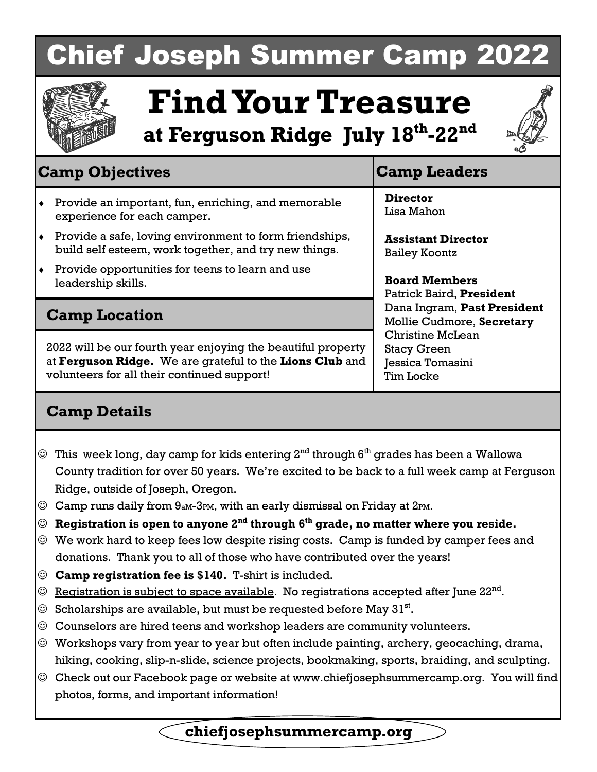# Chief Joseph Summer Camp 2022



# **Find Your Treasure**

**at Ferguson Ridge July 18th-22nd**



# **Camp Objectives Camp Leaders**

- Provide an important, fun, enriching, and memorable experience for each camper.
- Provide a safe, loving environment to form friendships, build self esteem, work together, and try new things.
- Provide opportunities for teens to learn and use leadership skills.

### **Camp Location**

2022 will be our fourth year enjoying the beautiful property at **Ferguson Ridge.** We are grateful to the **Lions Club** and volunteers for all their continued support!

**Director**  Lisa Mahon

**Assistant Director**  Bailey Koontz

**Board Members**  Patrick Baird, **President** Dana Ingram, **Past President**  Mollie Cudmore, **Secretary**  Christine McLean Stacy Green Jessica Tomasini Tim Locke

## **Camp Details**

- $\mathbb{\odot}\;$  This week long, day camp for kids entering  $2^{\text{nd}}$  through  $6^{\text{th}}$  grades has been a Wallowa County tradition for over 50 years. We're excited to be back to a full week camp at Ferguson Ridge, outside of Joseph, Oregon.
- $\odot$  Camp runs daily from 9<sub>aM</sub>-3PM, with an early dismissal on Friday at 2PM.
- **Registration is open to anyone 2nd through 6th grade, no matter where you reside.**
- $\odot$  We work hard to keep fees low despite rising costs. Camp is funded by camper fees and donations. Thank you to all of those who have contributed over the years!
- **Camp registration fee is \$140.** T-shirt is included.
- $\odot$  Registration is subject to space available. No registrations accepted after June 22<sup>nd</sup>.
- $\odot$  Scholarships are available, but must be requested before May 31<sup>st</sup>.
- $\odot$  Counselors are hired teens and workshop leaders are community volunteers.
- Workshops vary from year to year but often include painting, archery, geocaching, drama, hiking, cooking, slip-n-slide, science projects, bookmaking, sports, braiding, and sculpting.
- Check out our Facebook page or website at www.chiefjosephsummercamp.org. You will find photos, forms, and important information!

**chiefjosephsummercamp.org**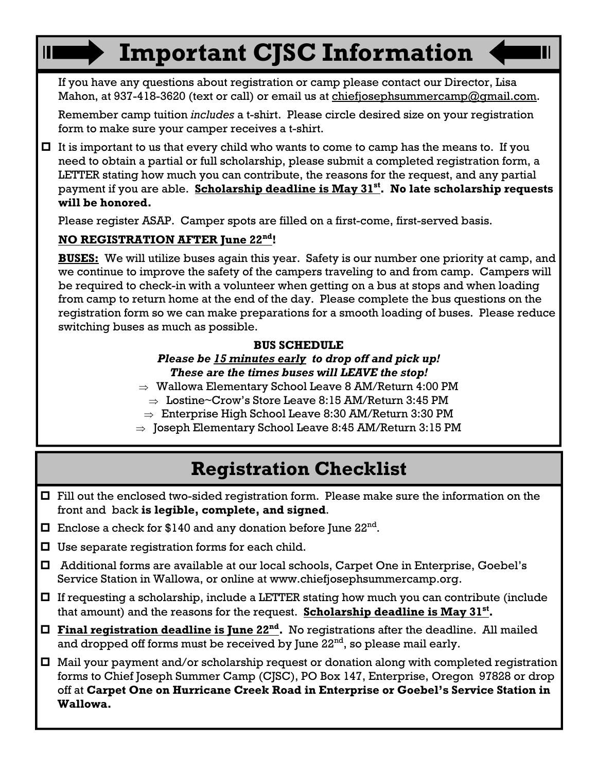# **Important CJSC Information**

 If you have any questions about registration or camp please contact our Director, Lisa Mahon, at 937-418-3620 (text or call) or email us at chiefjosephsummercamp@gmail.com.

 Remember camp tuition *includes* a t-shirt. Please circle desired size on your registration form to make sure your camper receives a t-shirt.

 $\Box$  It is important to us that every child who wants to come to camp has the means to. If you need to obtain a partial or full scholarship, please submit a completed registration form, a LETTER stating how much you can contribute, the reasons for the request, and any partial payment if you are able. **Scholarship deadline is May 31st. No late scholarship requests will be honored.**

Please register ASAP. Camper spots are filled on a first-come, first-served basis.

#### **NO REGISTRATION AFTER June 22nd!**

 **BUSES:** We will utilize buses again this year. Safety is our number one priority at camp, and we continue to improve the safety of the campers traveling to and from camp. Campers will be required to check-in with a volunteer when getting on a bus at stops and when loading from camp to return home at the end of the day. Please complete the bus questions on the registration form so we can make preparations for a smooth loading of buses. Please reduce switching buses as much as possible.

#### **BUS SCHEDULE**

#### *Please be 15 minutes early to drop off and pick up! These are the times buses will LEAVE the stop!*

- $\Rightarrow$  Wallowa Elementary School Leave 8 AM/Return 4:00 PM
	- $\Rightarrow$  Lostine~Crow's Store Leave 8:15 AM/Return 3:45 PM
- $\Rightarrow$  Enterprise High School Leave 8:30 AM/Return 3:30 PM
- $\Rightarrow$  Joseph Elementary School Leave 8:45 AM/Return 3:15 PM

# **Registration Checklist**

- Fill out the enclosed two-sided registration form. Please make sure the information on the front and back **is legible, complete, and signed**.
- $\Box$  Enclose a check for \$140 and any donation before June  $22^{nd}$ .
- $\Box$  Use separate registration forms for each child.
- Additional forms are available at our local schools, Carpet One in Enterprise, Goebel's Service Station in Wallowa, or online at www.chiefjosephsummercamp.org.
- If requesting a scholarship, include a LETTER stating how much you can contribute (include that amount) and the reasons for the request. **Scholarship deadline is May 31st.**
- **Final registration deadline is June 22nd.** No registrations after the deadline. All mailed and dropped off forms must be received by June  $22<sup>nd</sup>$ , so please mail early.
- Mail your payment and/or scholarship request or donation along with completed registration forms to Chief Joseph Summer Camp (CJSC), PO Box 147, Enterprise, Oregon 97828 or drop off at **Carpet One on Hurricane Creek Road in Enterprise or Goebel's Service Station in Wallowa.**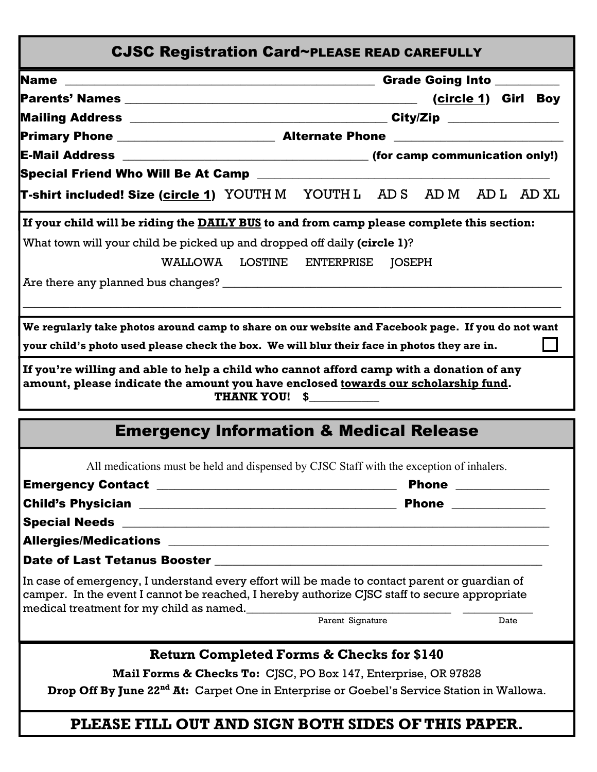| <b>CJSC Registration Card~PLEASE READ CAREFULLY</b>                                                                                                                                                                                        |
|--------------------------------------------------------------------------------------------------------------------------------------------------------------------------------------------------------------------------------------------|
| Grade Going Into ________                                                                                                                                                                                                                  |
| (circle 1) Girl Boy                                                                                                                                                                                                                        |
|                                                                                                                                                                                                                                            |
|                                                                                                                                                                                                                                            |
|                                                                                                                                                                                                                                            |
|                                                                                                                                                                                                                                            |
| <b>T-shirt included! Size (<u>circle 1</u>)</b> YOUTH M YOUTH L AD S AD M AD L AD XL                                                                                                                                                       |
| If your child will be riding the DAILY BUS to and from camp please complete this section:                                                                                                                                                  |
| What town will your child be picked up and dropped off daily (circle 1)?                                                                                                                                                                   |
| WALLOWA LOSTINE ENTERPRISE<br><b>JOSEPH</b>                                                                                                                                                                                                |
|                                                                                                                                                                                                                                            |
|                                                                                                                                                                                                                                            |
| We regularly take photos around camp to share on our website and Facebook page. If you do not want                                                                                                                                         |
| your child's photo used please check the box. We will blur their face in photos they are in.                                                                                                                                               |
|                                                                                                                                                                                                                                            |
| If you're willing and able to help a child who cannot afford camp with a donation of any<br>amount, please indicate the amount you have enclosed towards our scholarship fund.<br>THANK YOU! \$                                            |
| <b>Emergency Information &amp; Medical Release</b>                                                                                                                                                                                         |
| All medications must be held and dispensed by CJSC Staff with the exception of inhalers.                                                                                                                                                   |
| Phone _____________                                                                                                                                                                                                                        |
| Child's Physician 2008 2009 2010 2020 2021 2022 2022 2022 2023 2024 2022 2023 2024 2025 2026 2027 2028 2029 20                                                                                                                             |
|                                                                                                                                                                                                                                            |
|                                                                                                                                                                                                                                            |
| Date of Last Tetanus Booster New York Charles and Charles Charles and Charles Charles Charles and Charles Charles Charles Charles and Charles Charles Charles Charles and Charles Charles Charles Charles Charles Charles Char             |
| In case of emergency, I understand every effort will be made to contact parent or guardian of<br>camper. In the event I cannot be reached, I hereby authorize CJSC staff to secure appropriate<br>medical treatment for my child as named. |
| Parent Signature<br>Date                                                                                                                                                                                                                   |
| <b>Return Completed Forms &amp; Checks for \$140</b>                                                                                                                                                                                       |
| Mail Forms & Checks To: CJSC, PO Box 147, Enterprise, OR 97828                                                                                                                                                                             |
| Drop Off By June 22 <sup>nd</sup> At: Carpet One in Enterprise or Goebel's Service Station in Wallowa.                                                                                                                                     |
| PLEASE FILL OUT AND SIGN BOTH SIDES OF THIS PAPER.                                                                                                                                                                                         |